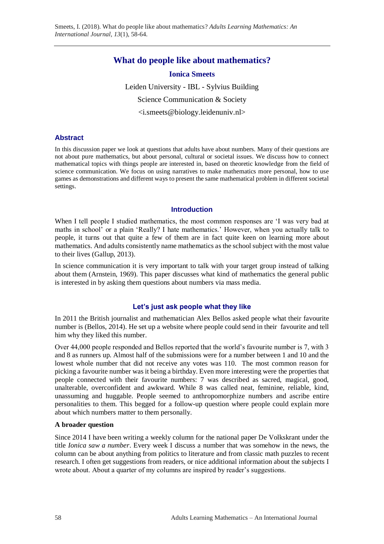# **What do people like about mathematics?**

# **Ionica Smeets**

Leiden University - IBL - Sylvius Building Science Communication & Society <i.smeets@biology.leidenuniv.nl>

# **Abstract**

In this discussion paper we look at questions that adults have about numbers. Many of their questions are not about pure mathematics, but about personal, cultural or societal issues. We discuss how to connect mathematical topics with things people are interested in, based on theoretic knowledge from the field of science communication. We focus on using narratives to make mathematics more personal, how to use games as demonstrations and different ways to present the same mathematical problem in different societal settings.

# **Introduction**

When I tell people I studied mathematics, the most common responses are 'I was very bad at maths in school' or a plain 'Really? I hate mathematics.' However, when you actually talk to people, it turns out that quite a few of them are in fact quite keen on learning more about mathematics. And adults consistently name mathematics as the school subject with the most value to their lives (Gallup, 2013).

In science communication it is very important to talk with your target group instead of talking about them (Arnstein, 1969). This paper discusses what kind of mathematics the general public is interested in by asking them questions about numbers via mass media.

# **Let's just ask people what they like**

In 2011 the British journalist and mathematician Alex Bellos asked people what their favourite number is (Bellos, 2014). He set up a website where people could send in their favourite and tell him why they liked this number.

Over 44,000 people responded and Bellos reported that the world's favourite number is 7, with 3 and 8 as runners up. Almost half of the submissions were for a number between 1 and 10 and the lowest whole number that did not receive any votes was 110. The most common reason for picking a favourite number was it being a birthday. Even more interesting were the properties that people connected with their favourite numbers: 7 was described as sacred, magical, good, unalterable, overconfident and awkward. While 8 was called neat, feminine, reliable, kind, unassuming and huggable. People seemed to anthropomorphize numbers and ascribe entire personalities to them. This begged for a follow-up question where people could explain more about which numbers matter to them personally.

# **A broader question**

Since 2014 I have been writing a weekly column for the national paper De Volkskrant under the title *Ionica saw a number*. Every week I discuss a number that was somehow in the news, the column can be about anything from politics to literature and from classic math puzzles to recent research. I often get suggestions from readers, or nice additional information about the subjects I wrote about. About a quarter of my columns are inspired by reader's suggestions.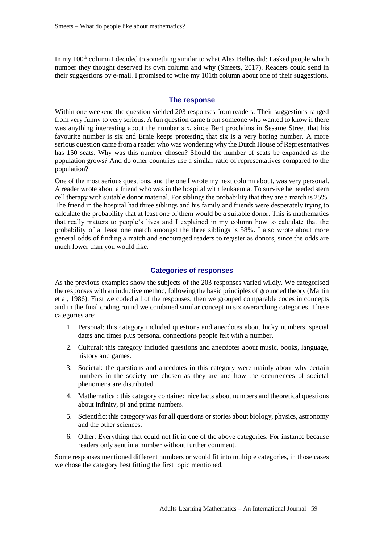In my  $100<sup>th</sup>$  column I decided to something similar to what Alex Bellos did: I asked people which number they thought deserved its own column and why (Smeets, 2017). Readers could send in their suggestions by e-mail. I promised to write my 101th column about one of their suggestions.

### **The response**

Within one weekend the question yielded 203 responses from readers. Their suggestions ranged from very funny to very serious. A fun question came from someone who wanted to know if there was anything interesting about the number six, since Bert proclaims in Sesame Street that his favourite number is six and Ernie keeps protesting that six is a very boring number. A more serious question came from a reader who was wondering why the Dutch House of Representatives has 150 seats. Why was this number chosen? Should the number of seats be expanded as the population grows? And do other countries use a similar ratio of representatives compared to the population?

One of the most serious questions, and the one I wrote my next column about, was very personal. A reader wrote about a friend who was in the hospital with leukaemia. To survive he needed stem cell therapy with suitable donor material. For siblings the probability that they are a match is 25%. The friend in the hospital had three siblings and his family and friends were desperately trying to calculate the probability that at least one of them would be a suitable donor. This is mathematics that really matters to people's lives and I explained in my column how to calculate that the probability of at least one match amongst the three siblings is 58%. I also wrote about more general odds of finding a match and encouraged readers to register as donors, since the odds are much lower than you would like.

## **Categories of responses**

As the previous examples show the subjects of the 203 responses varied wildly. We categorised the responses with an inductive method, following the basic principles of grounded theory (Martin et al, 1986). First we coded all of the responses, then we grouped comparable codes in concepts and in the final coding round we combined similar concept in six overarching categories. These categories are:

- 1. Personal: this category included questions and anecdotes about lucky numbers, special dates and times plus personal connections people felt with a number.
- 2. Cultural: this category included questions and anecdotes about music, books, language, history and games.
- 3. Societal: the questions and anecdotes in this category were mainly about why certain numbers in the society are chosen as they are and how the occurrences of societal phenomena are distributed.
- 4. Mathematical: this category contained nice facts about numbers and theoretical questions about infinity, pi and prime numbers.
- 5. Scientific: this category was for all questions or stories about biology, physics, astronomy and the other sciences.
- 6. Other: Everything that could not fit in one of the above categories. For instance because readers only sent in a number without further comment.

Some responses mentioned different numbers or would fit into multiple categories, in those cases we chose the category best fitting the first topic mentioned.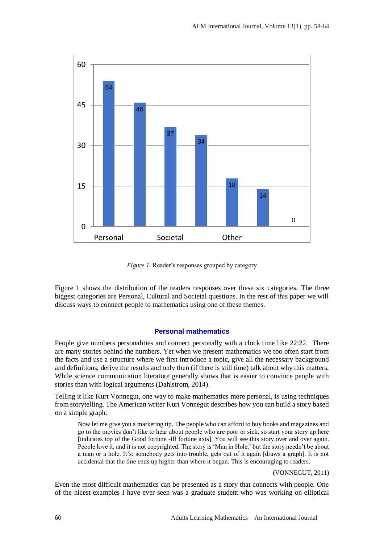

*Figure 1*. Reader's responses grouped by category

Figure 1 shows the distribution of the readers responses over these six categories. The three biggest categories are Personal, Cultural and Societal questions. In the rest of this paper we will discuss ways to connect people to mathematics using one of these themes.

# **Personal mathematics**

People give numbers personalities and connect personally with a clock time like 22:22. There are many stories behind the numbers. Yet when we present mathematics we too often start from the facts and use a structure where we first introduce a topic, give all the necessary background and definitions, derive the results and only then (if there is still time) talk about why this matters. While science communication literature generally shows that is easier to convince people with stories than with logical arguments (Dahlstrom, 2014).

Telling it like Kurt Vonnegut, one way to make mathematics more personal, is using techniques from storytelling. The American writer Kurt Vonnegut describes how you can build a story based on a simple graph:

Now let me give you a marketing tip. The people who can afford to buy books and magazines and go to the movies don't like to hear about people who are poor or sick, so start your story up here [indicates top of the Good fortune -Ill fortune axis]. You will see this story over and over again. People love it, and it is not copyrighted. The story is 'Man in Hole,' but the story needn't be about a man or a hole. It's: somebody gets into trouble, gets out of it again [draws a graph]. It is not accidental that the line ends up higher than where it began. This is encouraging to readers.

(VONNEGUT, 2011)

Even the most difficult mathematics can be presented as a story that connects with people. One of the nicest examples I have ever seen was a graduate student who was working on elliptical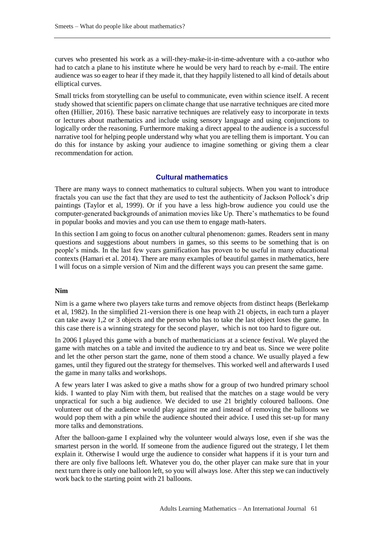curves who presented his work as a will-they-make-it-in-time-adventure with a co-author who had to catch a plane to his institute where he would be very hard to reach by e-mail. The entire audience was so eager to hear if they made it, that they happily listened to all kind of details about elliptical curves.

Small tricks from storytelling can be useful to communicate, even within science itself. A recent study showed that scientific papers on climate change that use narrative techniques are cited more often (Hillier, 2016). These basic narrative techniques are relatively easy to incorporate in texts or lectures about mathematics and include using sensory language and using conjunctions to logically order the reasoning. Furthermore making a direct appeal to the audience is a successful narrative tool for helping people understand why what you are telling them is important. You can do this for instance by asking your audience to imagine something or giving them a clear recommendation for action.

# **Cultural mathematics**

There are many ways to connect mathematics to cultural subjects. When you want to introduce fractals you can use the fact that they are used to test the authenticity of Jackson Pollock's drip paintings (Taylor et al, 1999). Or if you have a less high-brow audience you could use the computer-generated backgrounds of animation movies like Up. There's mathematics to be found in popular books and movies and you can use them to engage math-haters.

In this section I am going to focus on another cultural phenomenon: games. Readers sent in many questions and suggestions about numbers in games, so this seems to be something that is on people's minds. In the last few years gamification has proven to be useful in many educational contexts (Hamari et al. 2014). There are many examples of beautiful games in mathematics, here I will focus on a simple version of Nim and the different ways you can present the same game.

### **Nim**

Nim is a game where two players take turns and remove objects from distinct heaps (Berlekamp et al, 1982). In the simplified 21-version there is one heap with 21 objects, in each turn a player can take away 1,2 or 3 objects and the person who has to take the last object loses the game. In this case there is a winning strategy for the second player, which is not too hard to figure out.

In 2006 I played this game with a bunch of mathematicians at a science festival. We played the game with matches on a table and invited the audience to try and beat us. Since we were polite and let the other person start the game, none of them stood a chance. We usually played a few games, until they figured out the strategy for themselves. This worked well and afterwards I used the game in many talks and workshops.

A few years later I was asked to give a maths show for a group of two hundred primary school kids. I wanted to play Nim with them, but realised that the matches on a stage would be very unpractical for such a big audience. We decided to use 21 brightly coloured balloons. One volunteer out of the audience would play against me and instead of removing the balloons we would pop them with a pin while the audience shouted their advice. I used this set-up for many more talks and demonstrations.

After the balloon-game I explained why the volunteer would always lose, even if she was the smartest person in the world. If someone from the audience figured out the strategy, I let them explain it. Otherwise I would urge the audience to consider what happens if it is your turn and there are only five balloons left. Whatever you do, the other player can make sure that in your next turn there is only one balloon left, so you will always lose. After this step we can inductively work back to the starting point with 21 balloons.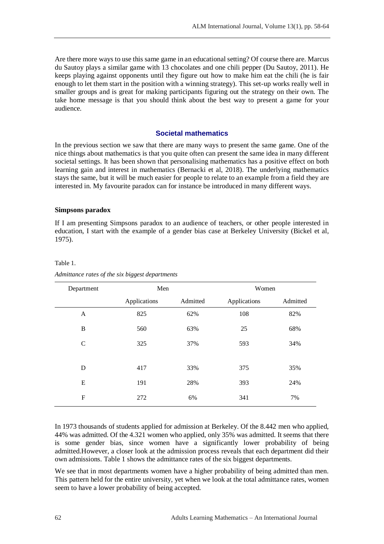Are there more ways to use this same game in an educational setting? Of course there are. Marcus du Sautoy plays a similar game with 13 chocolates and one chili pepper (Du Sautoy, 2011). He keeps playing against opponents until they figure out how to make him eat the chili (he is fair enough to let them start in the position with a winning strategy). This set-up works really well in smaller groups and is great for making participants figuring out the strategy on their own. The take home message is that you should think about the best way to present a game for your audience.

## **Societal mathematics**

In the previous section we saw that there are many ways to present the same game. One of the nice things about mathematics is that you quite often can present the same idea in many different societal settings. It has been shown that personalising mathematics has a positive effect on both learning gain and interest in mathematics (Bernacki et al, 2018). The underlying mathematics stays the same, but it will be much easier for people to relate to an example from a field they are interested in. My favourite paradox can for instance be introduced in many different ways.

#### **Simpsons paradox**

Table 1.

If I am presenting Simpsons paradox to an audience of teachers, or other people interested in education, I start with the example of a gender bias case at Berkeley University (Bickel et al, 1975).

| Department       | Men          |          | Women        |          |
|------------------|--------------|----------|--------------|----------|
|                  | Applications | Admitted | Applications | Admitted |
| A                | 825          | 62%      | 108          | 82%      |
| B                | 560          | 63%      | 25           | 68%      |
| $\mathsf{C}$     | 325          | 37%      | 593          | 34%      |
|                  |              |          |              |          |
| D                | 417          | 33%      | 375          | 35%      |
| E                | 191          | 28%      | 393          | 24%      |
| $\boldsymbol{F}$ | 272          | 6%       | 341          | 7%       |
|                  |              |          |              |          |

#### *Admittance rates of the six biggest departments*

In 1973 thousands of students applied for admission at Berkeley. Of the 8.442 men who applied, 44% was admitted. Of the 4.321 women who applied, only 35% was admitted. It seems that there is some gender bias, since women have a significantly lower probability of being admitted.However, a closer look at the admission process reveals that each department did their own admissions. Table 1 shows the admittance rates of the six biggest departments.

We see that in most departments women have a higher probability of being admitted than men. This pattern held for the entire university, yet when we look at the total admittance rates, women seem to have a lower probability of being accepted.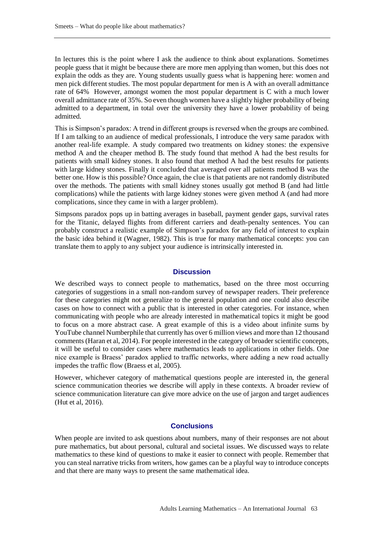In lectures this is the point where I ask the audience to think about explanations. Sometimes people guess that it might be because there are more men applying than women, but this does not explain the odds as they are. Young students usually guess what is happening here: women and men pick different studies. The most popular department for men is A with an overall admittance rate of 64% However, amongst women the most popular department is C with a much lower overall admittance rate of 35%. So even though women have a slightly higher probability of being admitted to a department, in total over the university they have a lower probability of being admitted.

This is Simpson's paradox: A trend in different groups is reversed when the groups are combined. If I am talking to an audience of medical professionals, I introduce the very same paradox with another real-life example. A study compared two treatments on kidney stones: the expensive method A and the cheaper method B. The study found that method A had the best results for patients with small kidney stones. It also found that method A had the best results for patients with large kidney stones. Finally it concluded that averaged over all patients method B was the better one. How is this possible? Once again, the clue is that patients are not randomly distributed over the methods. The patients with small kidney stones usually got method B (and had little complications) while the patients with large kidney stones were given method A (and had more complications, since they came in with a larger problem).

Simpsons paradox pops up in batting averages in baseball, payment gender gaps, survival rates for the Titanic, delayed flights from different carriers and death-penalty sentences. You can probably construct a realistic example of Simpson's paradox for any field of interest to explain the basic idea behind it (Wagner, 1982). This is true for many mathematical concepts: you can translate them to apply to any subject your audience is intrinsically interested in.

#### **Discussion**

We described ways to connect people to mathematics, based on the three most occurring categories of suggestions in a small non-random survey of newspaper readers. Their preference for these categories might not generalize to the general population and one could also describe cases on how to connect with a public that is interested in other categories. For instance, when communicating with people who are already interested in mathematical topics it might be good to focus on a more abstract case. A great example of this is a video about infinite sums by YouTube channel Numberphile that currently has over 6 million views and more than 12 thousand comments (Haran et al, 2014). For people interested in the category of broader scientific concepts, it will be useful to consider cases where mathematics leads to applications in other fields. One nice example is Braess' paradox applied to traffic networks, where adding a new road actually impedes the traffic flow (Braess et al, 2005).

However, whichever category of mathematical questions people are interested in, the general science communication theories we describe will apply in these contexts. A broader review of science communication literature can give more advice on the use of jargon and target audiences (Hut et al, 2016).

### **Conclusions**

When people are invited to ask questions about numbers, many of their responses are not about pure mathematics, but about personal, cultural and societal issues. We discussed ways to relate mathematics to these kind of questions to make it easier to connect with people. Remember that you can steal narrative tricks from writers, how games can be a playful way to introduce concepts and that there are many ways to present the same mathematical idea.